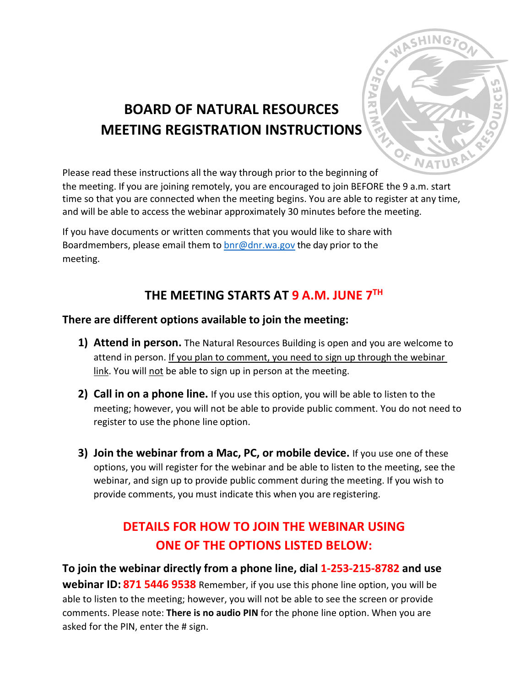

# **BOARD OF NATURAL RESOURCES MEETING REGISTRATION INSTRUCTIONS**

Please read these instructions all the way through prior to the beginning of

the meeting. If you are joining remotely, you are encouraged to join BEFORE the 9 a.m. start time so that you are connected when the meeting begins. You are able to register at any time, and will be able to access the webinar approximately 30 minutes before the meeting.

If you have documents or written comments that you would like to share with Boardmembers, please email them to  $\frac{b}{c}$  on r.wa.gov the day prior to the meeting.

### **THE MEETING STARTS AT 9 A.M. JUNE 7TH**

### **There are different options available to join the meeting:**

- **1) Attend in person.** The Natural Resources Building is open and you are welcome to attend in person. If you plan to comment, you need to sign up through the webinar link. You will not be able to sign up in person at the meeting.
- **2) Call in on a phone line.** If you use this option, you will be able to listen to the meeting; however, you will not be able to provide public comment. You do not need to register to use the phone line option.
- **3) Join the webinar from a Mac, PC, or mobile device.** If you use one of these options, you will register for the webinar and be able to listen to the meeting, see the webinar, and sign up to provide public comment during the meeting. If you wish to provide comments, you must indicate this when you are registering.

## **DETAILS FOR HOW TO JOIN THE WEBINAR USING ONE OF THE OPTIONS LISTED BELOW:**

**To join the webinar directly from a phone line, dial 1-253-215-8782 and use webinar ID: 871 5446 9538** Remember, if you use this phone line option, you will be able to listen to the meeting; however, you will not be able to see the screen or provide comments. Please note: **There is no audio PIN** for the phone line option. When you are asked for the PIN, enter the # sign.